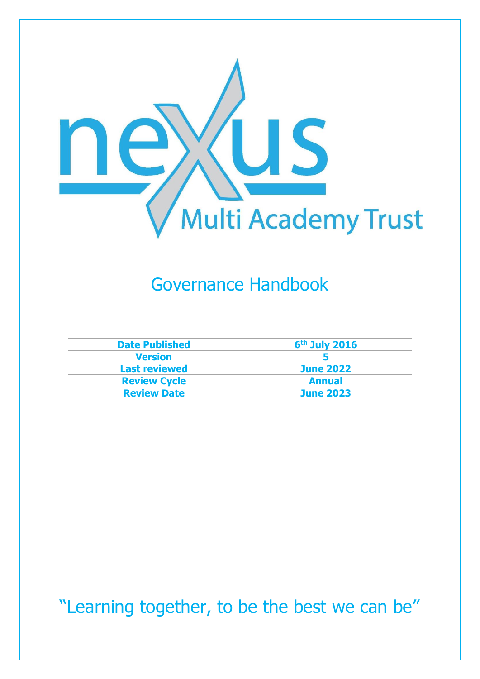

## Governance Handbook

| <b>Date Published</b> | $6th$ July 2016  |
|-----------------------|------------------|
| <b>Version</b>        |                  |
| <b>Last reviewed</b>  | <b>June 2022</b> |
| <b>Review Cycle</b>   | <b>Annual</b>    |
| <b>Review Date</b>    | <b>June 2023</b> |

"Learning together, to be the best we can be"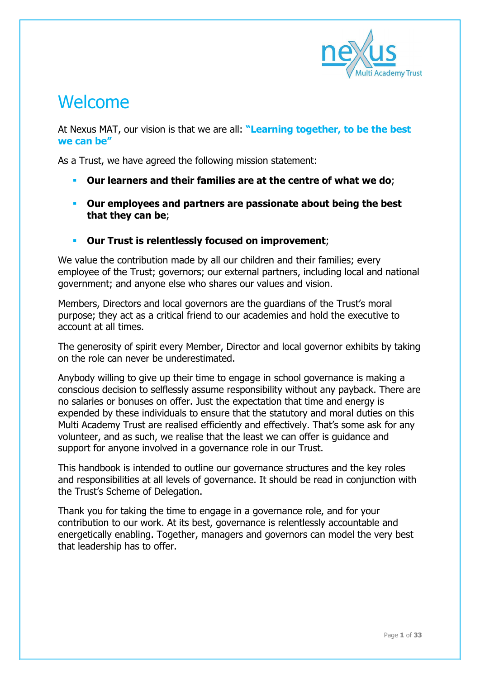

### Welcome

At Nexus MAT, our vision is that we are all: **"Learning together, to be the best we can be"**

As a Trust, we have agreed the following mission statement:

- **Our learners and their families are at the centre of what we do**;
- **Our employees and partners are passionate about being the best that they can be**;
- **Our Trust is relentlessly focused on improvement**;

We value the contribution made by all our children and their families; every employee of the Trust; governors; our external partners, including local and national government; and anyone else who shares our values and vision.

Members, Directors and local governors are the guardians of the Trust's moral purpose; they act as a critical friend to our academies and hold the executive to account at all times.

The generosity of spirit every Member, Director and local governor exhibits by taking on the role can never be underestimated.

Anybody willing to give up their time to engage in school governance is making a conscious decision to selflessly assume responsibility without any payback. There are no salaries or bonuses on offer. Just the expectation that time and energy is expended by these individuals to ensure that the statutory and moral duties on this Multi Academy Trust are realised efficiently and effectively. That's some ask for any volunteer, and as such, we realise that the least we can offer is guidance and support for anyone involved in a governance role in our Trust.

This handbook is intended to outline our governance structures and the key roles and responsibilities at all levels of governance. It should be read in conjunction with the Trust's Scheme of Delegation.

Thank you for taking the time to engage in a governance role, and for your contribution to our work. At its best, governance is relentlessly accountable and energetically enabling. Together, managers and governors can model the very best that leadership has to offer.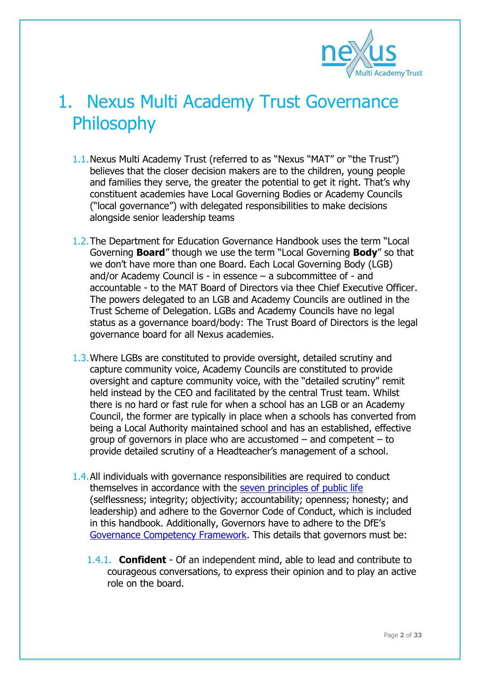

## 1. Nexus Multi Academy Trust Governance Philosophy

- 1.1.Nexus Multi Academy Trust (referred to as "Nexus "MAT" or "the Trust") believes that the closer decision makers are to the children, young people and families they serve, the greater the potential to get it right. That's why constituent academies have Local Governing Bodies or Academy Councils ("local governance") with delegated responsibilities to make decisions alongside senior leadership teams
- 1.2.The Department for Education Governance Handbook uses the term "Local Governing **Board**" though we use the term "Local Governing **Body**" so that we don't have more than one Board. Each Local Governing Body (LGB) and/or Academy Council is - in essence – a subcommittee of - and accountable - to the MAT Board of Directors via thee Chief Executive Officer. The powers delegated to an LGB and Academy Councils are outlined in the Trust Scheme of Delegation. LGBs and Academy Councils have no legal status as a governance board/body: The Trust Board of Directors is the legal governance board for all Nexus academies.
- 1.3.Where LGBs are constituted to provide oversight, detailed scrutiny and capture community voice, Academy Councils are constituted to provide oversight and capture community voice, with the "detailed scrutiny" remit held instead by the CEO and facilitated by the central Trust team. Whilst there is no hard or fast rule for when a school has an LGB or an Academy Council, the former are typically in place when a schools has converted from being a Local Authority maintained school and has an established, effective group of governors in place who are accustomed – and competent – to provide detailed scrutiny of a Headteacher's management of a school.
- 1.4.All individuals with governance responsibilities are required to conduct themselves in accordance with the [seven principles of public life](https://www.gov.uk/government/publications/the-7-principles-of-public-life/the-7-principles-of-public-life--2) (selflessness; integrity; objectivity; accountability; openness; honesty; and leadership) and adhere to the Governor Code of Conduct, which is included in this handbook. Additionally, Governors have to adhere to the DfE's [Governance Competency Framework.](https://www.gov.uk/government/uploads/system/uploads/attachment_data/file/583733/Competency_framework_for_governance_.pdf) This details that governors must be:
	- 1.4.1. **Confident** Of an independent mind, able to lead and contribute to courageous conversations, to express their opinion and to play an active role on the board.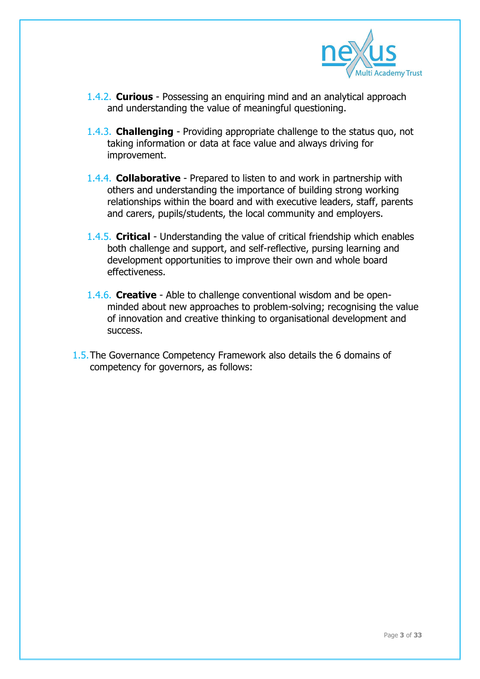

- 1.4.2. **Curious** Possessing an enquiring mind and an analytical approach and understanding the value of meaningful questioning.
- 1.4.3. **Challenging** Providing appropriate challenge to the status quo, not taking information or data at face value and always driving for improvement.
- 1.4.4. **Collaborative** Prepared to listen to and work in partnership with others and understanding the importance of building strong working relationships within the board and with executive leaders, staff, parents and carers, pupils/students, the local community and employers.
- 1.4.5. **Critical** Understanding the value of critical friendship which enables both challenge and support, and self-reflective, pursing learning and development opportunities to improve their own and whole board effectiveness.
- 1.4.6. **Creative** Able to challenge conventional wisdom and be openminded about new approaches to problem-solving; recognising the value of innovation and creative thinking to organisational development and success.
- 1.5.The Governance Competency Framework also details the 6 domains of competency for governors, as follows: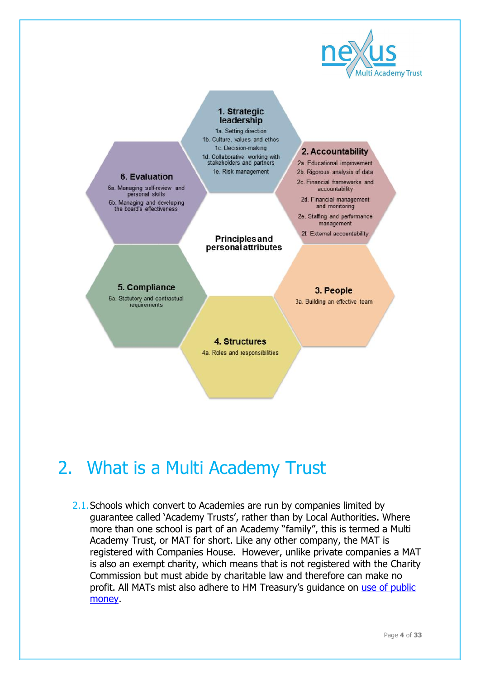

#### 1. Strategic leadership

1a. Setting direction 1b. Culture, values and ethos 1c. Decision-making 1d. Collaborative working with stakeholders and partners 1e. Risk management

**Principles and** personal attributes

#### 6. Evaluation

6a. Managing self-review and<br>personal skills 6b. Managing and developing<br>the board's effectiveness

#### 2. Accountability

- 2a. Educational improvement 2b. Rigorous analysis of data
- 2c. Financial frameworks and accountability
- 2d. Financial management and monitoring
- 2e. Staffing and performance management
- 2f. External accountability

5. Compliance 5a. Statutory and contractual requirements

3. People

3a. Building an effective team

#### 4. Structures

4a. Roles and responsibilities

# 2. What is a Multi Academy Trust

2.1. Schools which convert to Academies are run by companies limited by guarantee called 'Academy Trusts', rather than by Local Authorities. Where more than one school is part of an Academy "family", this is termed a Multi Academy Trust, or MAT for short. Like any other company, the MAT is registered with Companies House. However, unlike private companies a MAT is also an exempt charity, which means that is not registered with the Charity Commission but must abide by charitable law and therefore can make no profit. All MATs mist also adhere to HM Treasury's guidance on [use of public](https://www.gov.uk/government/publications/managing-public-money)  [money.](https://www.gov.uk/government/publications/managing-public-money)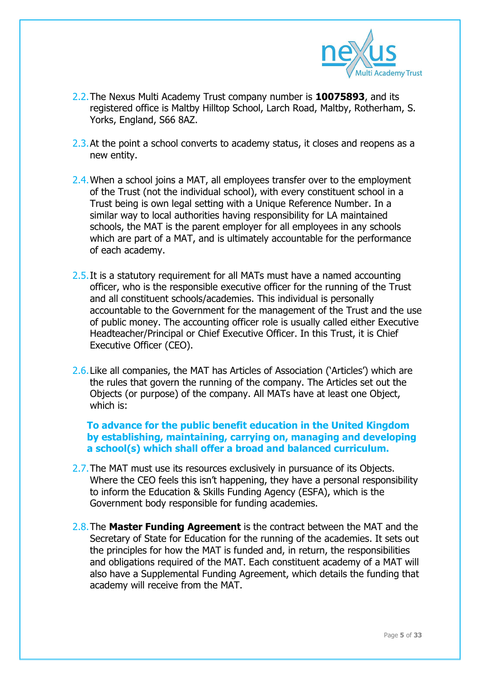

- 2.2.The Nexus Multi Academy Trust company number is **10075893**, and its registered office is Maltby Hilltop School, Larch Road, Maltby, Rotherham, S. Yorks, England, S66 8AZ.
- 2.3. At the point a school converts to academy status, it closes and reopens as a new entity.
- 2.4. When a school joins a MAT, all employees transfer over to the employment of the Trust (not the individual school), with every constituent school in a Trust being is own legal setting with a Unique Reference Number. In a similar way to local authorities having responsibility for LA maintained schools, the MAT is the parent employer for all employees in any schools which are part of a MAT, and is ultimately accountable for the performance of each academy.
- 2.5. It is a statutory requirement for all MATs must have a named accounting officer, who is the responsible executive officer for the running of the Trust and all constituent schools/academies. This individual is personally accountable to the Government for the management of the Trust and the use of public money. The accounting officer role is usually called either Executive Headteacher/Principal or Chief Executive Officer. In this Trust, it is Chief Executive Officer (CEO).
- 2.6.Like all companies, the MAT has Articles of Association ('Articles') which are the rules that govern the running of the company. The Articles set out the Objects (or purpose) of the company. All MATs have at least one Object, which is:

#### **To advance for the public benefit education in the United Kingdom by establishing, maintaining, carrying on, managing and developing a school(s) which shall offer a broad and balanced curriculum.**

- 2.7.The MAT must use its resources exclusively in pursuance of its Objects. Where the CEO feels this isn't happening, they have a personal responsibility to inform the Education & Skills Funding Agency (ESFA), which is the Government body responsible for funding academies.
- 2.8.The **Master Funding Agreement** is the contract between the MAT and the Secretary of State for Education for the running of the academies. It sets out the principles for how the MAT is funded and, in return, the responsibilities and obligations required of the MAT. Each constituent academy of a MAT will also have a Supplemental Funding Agreement, which details the funding that academy will receive from the MAT.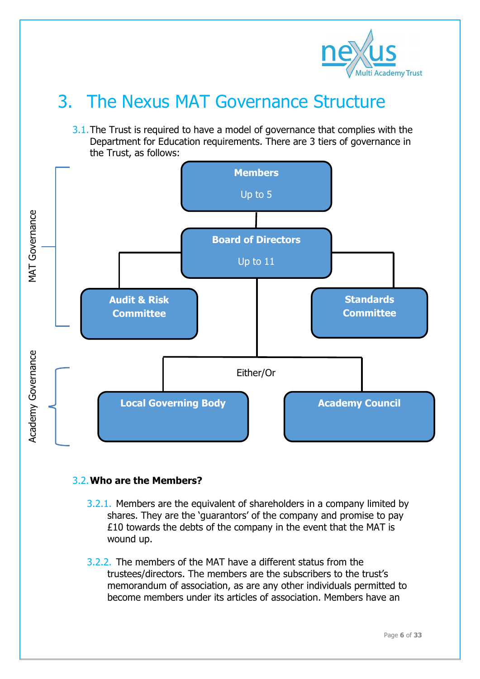

## 3. The Nexus MAT Governance Structure

3.1. The Trust is required to have a model of governance that complies with the Department for Education requirements. There are 3 tiers of governance in the Trust, as follows:



#### 3.2.**Who are the Members?**

- 3.2.1. Members are the equivalent of shareholders in a company limited by shares. They are the 'guarantors' of the company and promise to pay £10 towards the debts of the company in the event that the MAT is wound up.
- 3.2.2. The members of the MAT have a different status from the trustees/directors. The members are the subscribers to the trust's memorandum of association, as are any other individuals permitted to become members under its articles of association. Members have an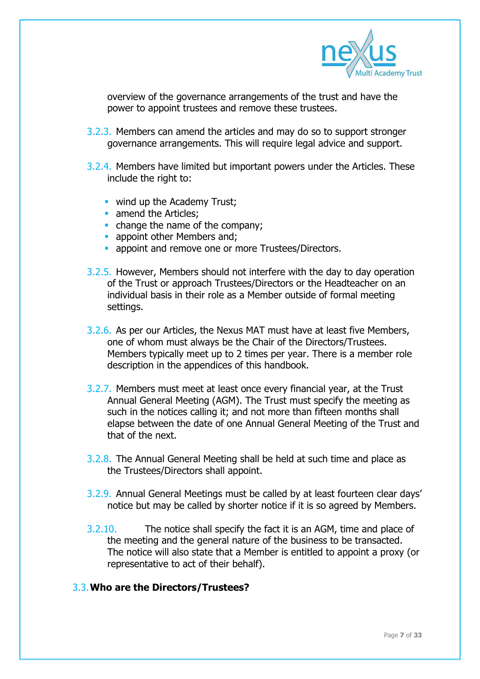

overview of the governance arrangements of the trust and have the power to appoint trustees and remove these trustees.

- 3.2.3. Members can amend the articles and may do so to support stronger governance arrangements. This will require legal advice and support.
- 3.2.4. Members have limited but important powers under the Articles. These include the right to:
	- **Wind up the Academy Trust:**
	- amend the Articles;
	- change the name of the company;
	- **appoint other Members and:**
	- **appoint and remove one or more Trustees/Directors.**
- 3.2.5. However, Members should not interfere with the day to day operation of the Trust or approach Trustees/Directors or the Headteacher on an individual basis in their role as a Member outside of formal meeting settings.
- 3.2.6. As per our Articles, the Nexus MAT must have at least five Members, one of whom must always be the Chair of the Directors/Trustees. Members typically meet up to 2 times per year. There is a member role description in the appendices of this handbook.
- 3.2.7. Members must meet at least once every financial year, at the Trust Annual General Meeting (AGM). The Trust must specify the meeting as such in the notices calling it; and not more than fifteen months shall elapse between the date of one Annual General Meeting of the Trust and that of the next.
- 3.2.8. The Annual General Meeting shall be held at such time and place as the Trustees/Directors shall appoint.
- 3.2.9. Annual General Meetings must be called by at least fourteen clear days' notice but may be called by shorter notice if it is so agreed by Members.
- 3.2.10. The notice shall specify the fact it is an AGM, time and place of the meeting and the general nature of the business to be transacted. The notice will also state that a Member is entitled to appoint a proxy (or representative to act of their behalf).

#### 3.3.**Who are the Directors/Trustees?**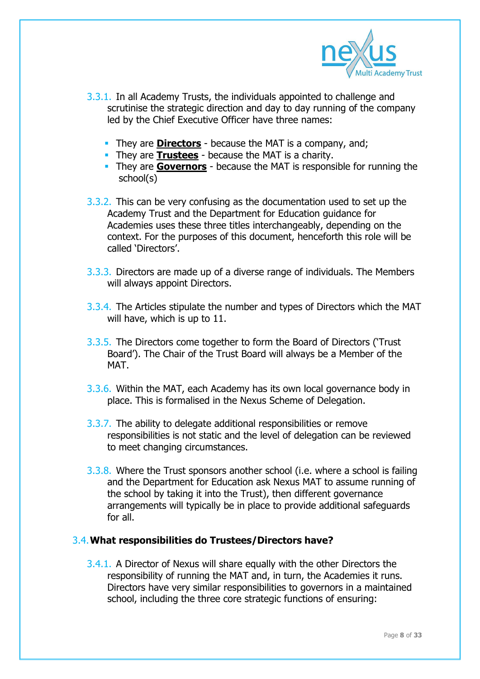

- 3.3.1. In all Academy Trusts, the individuals appointed to challenge and scrutinise the strategic direction and day to day running of the company led by the Chief Executive Officer have three names:
	- **They are <b>Directors** because the MAT is a company, and;
	- **They are Trustees** because the MAT is a charity.
	- They are **Governors** because the MAT is responsible for running the school(s)
- 3.3.2. This can be very confusing as the documentation used to set up the Academy Trust and the Department for Education guidance for Academies uses these three titles interchangeably, depending on the context. For the purposes of this document, henceforth this role will be called 'Directors'.
- 3.3.3. Directors are made up of a diverse range of individuals. The Members will always appoint Directors.
- 3.3.4. The Articles stipulate the number and types of Directors which the MAT will have, which is up to 11.
- 3.3.5. The Directors come together to form the Board of Directors ('Trust Board'). The Chair of the Trust Board will always be a Member of the MAT.
- 3.3.6. Within the MAT, each Academy has its own local governance body in place. This is formalised in the Nexus Scheme of Delegation.
- 3.3.7. The ability to delegate additional responsibilities or remove responsibilities is not static and the level of delegation can be reviewed to meet changing circumstances.
- 3.3.8. Where the Trust sponsors another school (i.e. where a school is failing and the Department for Education ask Nexus MAT to assume running of the school by taking it into the Trust), then different governance arrangements will typically be in place to provide additional safeguards for all.

#### 3.4.**What responsibilities do Trustees/Directors have?**

3.4.1. A Director of Nexus will share equally with the other Directors the responsibility of running the MAT and, in turn, the Academies it runs. Directors have very similar responsibilities to governors in a maintained school, including the three core strategic functions of ensuring: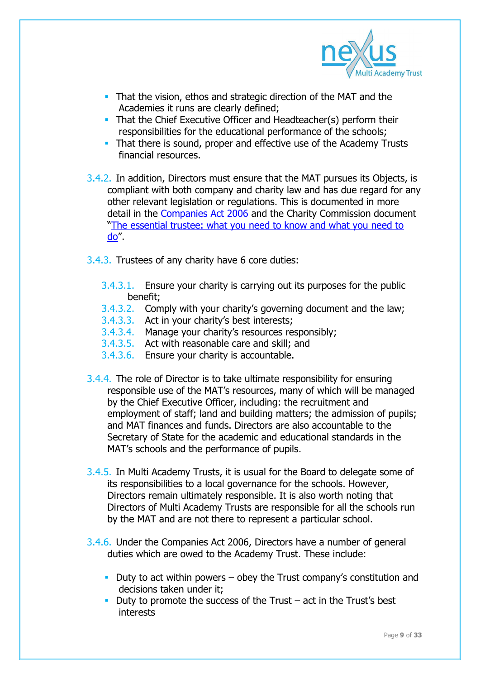

- That the vision, ethos and strategic direction of the MAT and the Academies it runs are clearly defined;
- That the Chief Executive Officer and Headteacher(s) perform their responsibilities for the educational performance of the schools;
- That there is sound, proper and effective use of the Academy Trusts financial resources.
- 3.4.2. In addition, Directors must ensure that the MAT pursues its Objects, is compliant with both company and charity law and has due regard for any other relevant legislation or regulations. This is documented in more detail in the [Companies Act 2006](http://www.legislation.gov.uk/ukpga/2006/46/part/10/chapter/2) and the Charity Commission document "[The essential trustee: what you need to know and what you need to](https://www.gov.uk/government/uploads/system/uploads/attachment_data/file/451020/CC3.pdf)  [do](https://www.gov.uk/government/uploads/system/uploads/attachment_data/file/451020/CC3.pdf)".
- 3.4.3. Trustees of any charity have 6 core duties:
	- 3.4.3.1. Ensure your charity is carrying out its purposes for the public benefit;
	- 3.4.3.2. Comply with your charity's governing document and the law;
	- 3.4.3.3. Act in your charity's best interests;
	- 3.4.3.4. Manage your charity's resources responsibly;
	- 3.4.3.5. Act with reasonable care and skill; and
	- 3.4.3.6. Ensure your charity is accountable.
- 3.4.4. The role of Director is to take ultimate responsibility for ensuring responsible use of the MAT's resources, many of which will be managed by the Chief Executive Officer, including: the recruitment and employment of staff; land and building matters; the admission of pupils; and MAT finances and funds. Directors are also accountable to the Secretary of State for the academic and educational standards in the MAT's schools and the performance of pupils.
- 3.4.5. In Multi Academy Trusts, it is usual for the Board to delegate some of its responsibilities to a local governance for the schools. However, Directors remain ultimately responsible. It is also worth noting that Directors of Multi Academy Trusts are responsible for all the schools run by the MAT and are not there to represent a particular school.
- 3.4.6. Under the Companies Act 2006, Directors have a number of general duties which are owed to the Academy Trust. These include:
	- Duty to act within powers  $-$  obey the Trust company's constitution and decisions taken under it;
	- Duty to promote the success of the Trust act in the Trust's best interests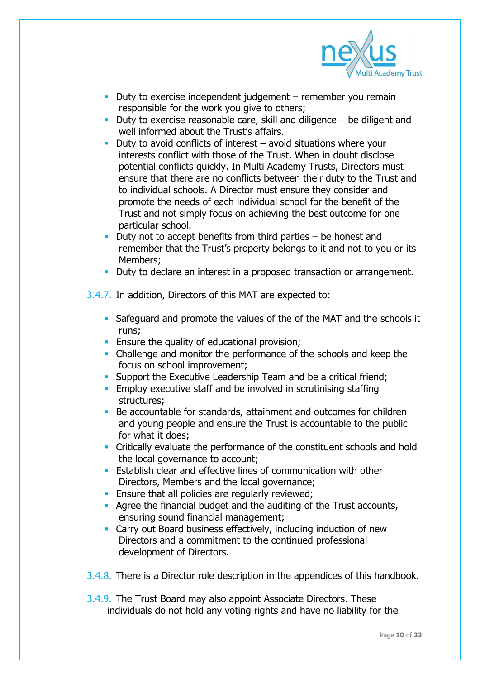

- Duty to exercise independent judgement remember you remain responsible for the work you give to others;
- Duty to exercise reasonable care, skill and diligence  $-$  be diligent and well informed about the Trust's affairs.
- Duty to avoid conflicts of interest  $-$  avoid situations where your interests conflict with those of the Trust. When in doubt disclose potential conflicts quickly. In Multi Academy Trusts, Directors must ensure that there are no conflicts between their duty to the Trust and to individual schools. A Director must ensure they consider and promote the needs of each individual school for the benefit of the Trust and not simply focus on achieving the best outcome for one particular school.
- Duty not to accept benefits from third parties  $-$  be honest and remember that the Trust's property belongs to it and not to you or its Members;
- Duty to declare an interest in a proposed transaction or arrangement.
- 3.4.7. In addition, Directors of this MAT are expected to:
	- Safeguard and promote the values of the of the MAT and the schools it runs;
	- **Ensure the quality of educational provision;**
	- Challenge and monitor the performance of the schools and keep the focus on school improvement;
	- **Support the Executive Leadership Team and be a critical friend:**
	- **Employ executive staff and be involved in scrutinising staffing** structures;
	- Be accountable for standards, attainment and outcomes for children and young people and ensure the Trust is accountable to the public for what it does;
	- Critically evaluate the performance of the constituent schools and hold the local governance to account;
	- **Establish clear and effective lines of communication with other** Directors, Members and the local governance;
	- **Ensure that all policies are regularly reviewed;**
	- Agree the financial budget and the auditing of the Trust accounts, ensuring sound financial management;
	- Carry out Board business effectively, including induction of new Directors and a commitment to the continued professional development of Directors.

3.4.8. There is a Director role description in the appendices of this handbook.

3.4.9. The Trust Board may also appoint Associate Directors. These individuals do not hold any voting rights and have no liability for the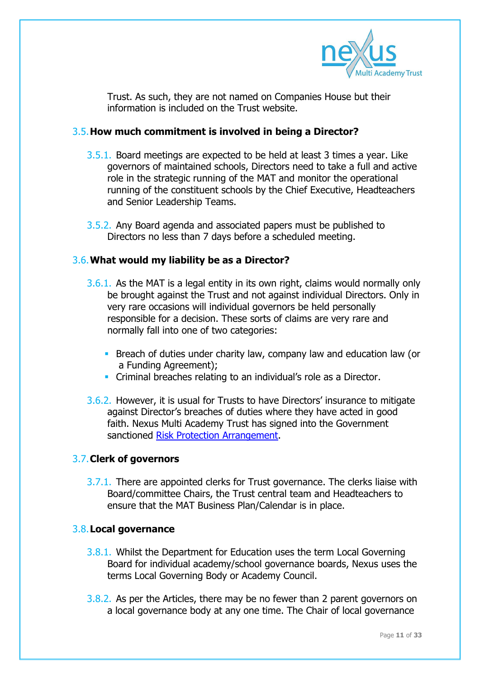

Trust. As such, they are not named on Companies House but their information is included on the Trust website.

#### 3.5.**How much commitment is involved in being a Director?**

- 3.5.1. Board meetings are expected to be held at least 3 times a year. Like governors of maintained schools, Directors need to take a full and active role in the strategic running of the MAT and monitor the operational running of the constituent schools by the Chief Executive, Headteachers and Senior Leadership Teams.
- 3.5.2. Any Board agenda and associated papers must be published to Directors no less than 7 days before a scheduled meeting.

#### 3.6.**What would my liability be as a Director?**

- 3.6.1. As the MAT is a legal entity in its own right, claims would normally only be brought against the Trust and not against individual Directors. Only in very rare occasions will individual governors be held personally responsible for a decision. These sorts of claims are very rare and normally fall into one of two categories:
	- **Breach of duties under charity law, company law and education law (or** a Funding Agreement);
	- **Criminal breaches relating to an individual's role as a Director.**
- 3.6.2. However, it is usual for Trusts to have Directors' insurance to mitigate against Director's breaches of duties where they have acted in good faith. Nexus Multi Academy Trust has signed into the Government sanctioned [Risk Protection Arrangement.](https://www.gov.uk/guidance/academies-risk-protection-arrangement-rpa)

#### 3.7.**Clerk of governors**

3.7.1. There are appointed clerks for Trust governance. The clerks liaise with Board/committee Chairs, the Trust central team and Headteachers to ensure that the MAT Business Plan/Calendar is in place.

#### 3.8.**Local governance**

- 3.8.1. Whilst the Department for Education uses the term Local Governing Board for individual academy/school governance boards, Nexus uses the terms Local Governing Body or Academy Council.
- 3.8.2. As per the Articles, there may be no fewer than 2 parent governors on a local governance body at any one time. The Chair of local governance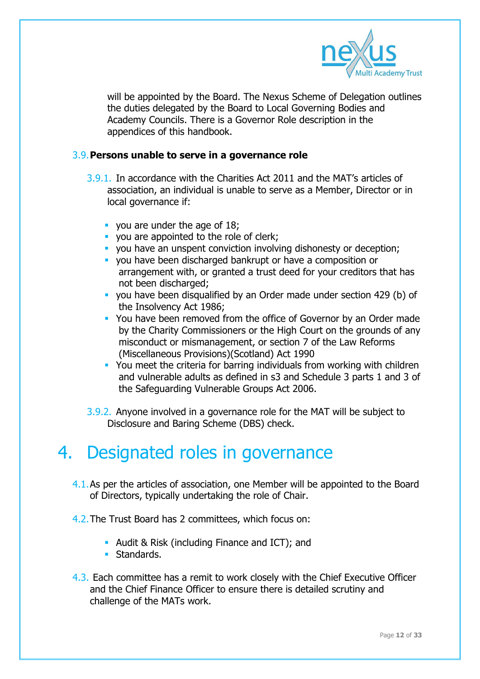

will be appointed by the Board. The Nexus Scheme of Delegation outlines the duties delegated by the Board to Local Governing Bodies and Academy Councils. There is a Governor Role description in the appendices of this handbook.

#### 3.9.**Persons unable to serve in a governance role**

- 3.9.1. In accordance with the Charities Act 2011 and the MAT's articles of association, an individual is unable to serve as a Member, Director or in local governance if:
	- vou are under the age of 18;
	- vou are appointed to the role of clerk;
	- you have an unspent conviction involving dishonesty or deception;
	- you have been discharged bankrupt or have a composition or arrangement with, or granted a trust deed for your creditors that has not been discharged;
	- you have been disqualified by an Order made under section 429 (b) of the Insolvency Act 1986;
	- You have been removed from the office of Governor by an Order made by the Charity Commissioners or the High Court on the grounds of any misconduct or mismanagement, or section 7 of the Law Reforms (Miscellaneous Provisions)(Scotland) Act 1990
	- You meet the criteria for barring individuals from working with children and vulnerable adults as defined in s3 and Schedule 3 parts 1 and 3 of the Safeguarding Vulnerable Groups Act 2006.
- 3.9.2. Anyone involved in a governance role for the MAT will be subject to Disclosure and Baring Scheme (DBS) check.

## 4. Designated roles in governance

- 4.1.As per the articles of association, one Member will be appointed to the Board of Directors, typically undertaking the role of Chair.
- 4.2.The Trust Board has 2 committees, which focus on:
	- Audit & Risk (including Finance and ICT); and
	- **Standards.**
- 4.3. Each committee has a remit to work closely with the Chief Executive Officer and the Chief Finance Officer to ensure there is detailed scrutiny and challenge of the MATs work.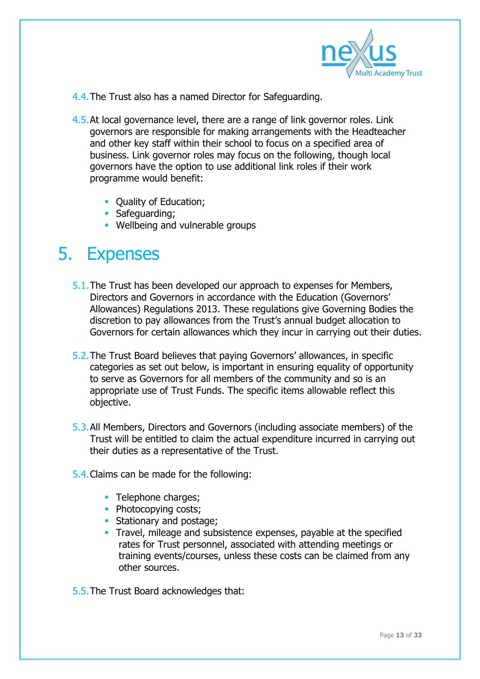

- 4.4.The Trust also has a named Director for Safeguarding.
- 4.5.At local governance level, there are a range of link governor roles. Link governors are responsible for making arrangements with the Headteacher and other key staff within their school to focus on a specified area of business. Link governor roles may focus on the following, though local governors have the option to use additional link roles if their work programme would benefit:
	- Quality of Education;
	- **Safeguarding;**
	- **Wellbeing and vulnerable groups**

### 5. Expenses

- 5.1.The Trust has been developed our approach to expenses for Members, Directors and Governors in accordance with the Education (Governors' Allowances) Regulations 2013. These regulations give Governing Bodies the discretion to pay allowances from the Trust's annual budget allocation to Governors for certain allowances which they incur in carrying out their duties.
- 5.2.The Trust Board believes that paying Governors' allowances, in specific categories as set out below, is important in ensuring equality of opportunity to serve as Governors for all members of the community and so is an appropriate use of Trust Funds. The specific items allowable reflect this objective.
- 5.3.All Members, Directors and Governors (including associate members) of the Trust will be entitled to claim the actual expenditure incurred in carrying out their duties as a representative of the Trust.
- 5.4.Claims can be made for the following:
	- Telephone charges;
	- Photocopying costs;
	- **Stationary and postage;**
	- **Travel, mileage and subsistence expenses, payable at the specified** rates for Trust personnel, associated with attending meetings or training events/courses, unless these costs can be claimed from any other sources.
- 5.5.The Trust Board acknowledges that: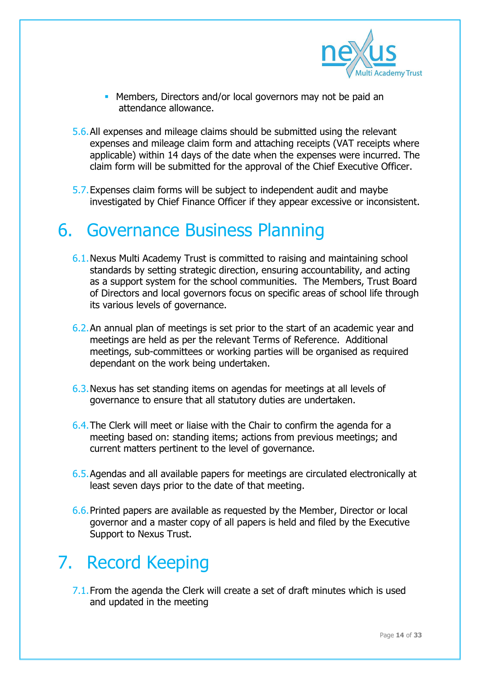

- **Members, Directors and/or local governors may not be paid an** attendance allowance.
- 5.6.All expenses and mileage claims should be submitted using the relevant expenses and mileage claim form and attaching receipts (VAT receipts where applicable) within 14 days of the date when the expenses were incurred. The claim form will be submitted for the approval of the Chief Executive Officer.
- 5.7.Expenses claim forms will be subject to independent audit and maybe investigated by Chief Finance Officer if they appear excessive or inconsistent.

### 6. Governance Business Planning

- 6.1.Nexus Multi Academy Trust is committed to raising and maintaining school standards by setting strategic direction, ensuring accountability, and acting as a support system for the school communities. The Members, Trust Board of Directors and local governors focus on specific areas of school life through its various levels of governance.
- 6.2.An annual plan of meetings is set prior to the start of an academic year and meetings are held as per the relevant Terms of Reference. Additional meetings, sub-committees or working parties will be organised as required dependant on the work being undertaken.
- 6.3.Nexus has set standing items on agendas for meetings at all levels of governance to ensure that all statutory duties are undertaken.
- 6.4.The Clerk will meet or liaise with the Chair to confirm the agenda for a meeting based on: standing items; actions from previous meetings; and current matters pertinent to the level of governance.
- 6.5.Agendas and all available papers for meetings are circulated electronically at least seven days prior to the date of that meeting.
- 6.6.Printed papers are available as requested by the Member, Director or local governor and a master copy of all papers is held and filed by the Executive Support to Nexus Trust.

### 7. Record Keeping

7.1.From the agenda the Clerk will create a set of draft minutes which is used and updated in the meeting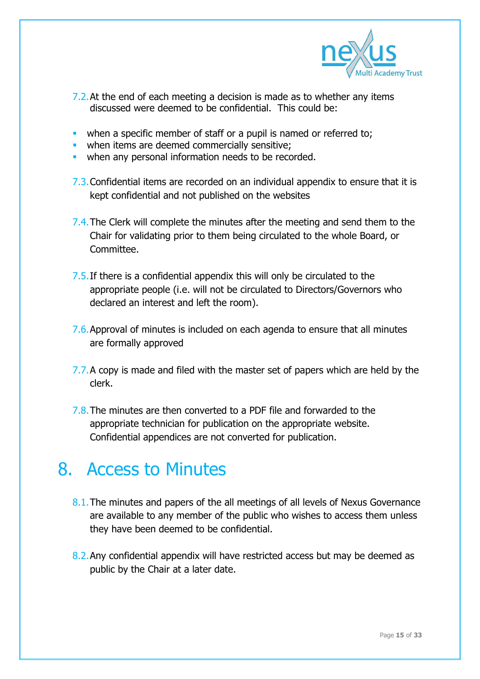

- 7.2. At the end of each meeting a decision is made as to whether any items discussed were deemed to be confidential. This could be:
- when a specific member of staff or a pupil is named or referred to:
- when items are deemed commercially sensitive;
- when any personal information needs to be recorded.
- 7.3.Confidential items are recorded on an individual appendix to ensure that it is kept confidential and not published on the websites
- 7.4. The Clerk will complete the minutes after the meeting and send them to the Chair for validating prior to them being circulated to the whole Board, or Committee.
- 7.5. If there is a confidential appendix this will only be circulated to the appropriate people (i.e. will not be circulated to Directors/Governors who declared an interest and left the room).
- 7.6.Approval of minutes is included on each agenda to ensure that all minutes are formally approved
- 7.7. A copy is made and filed with the master set of papers which are held by the clerk.
- 7.8.The minutes are then converted to a PDF file and forwarded to the appropriate technician for publication on the appropriate website. Confidential appendices are not converted for publication.

### 8. Access to Minutes

- 8.1. The minutes and papers of the all meetings of all levels of Nexus Governance are available to any member of the public who wishes to access them unless they have been deemed to be confidential.
- 8.2.Any confidential appendix will have restricted access but may be deemed as public by the Chair at a later date.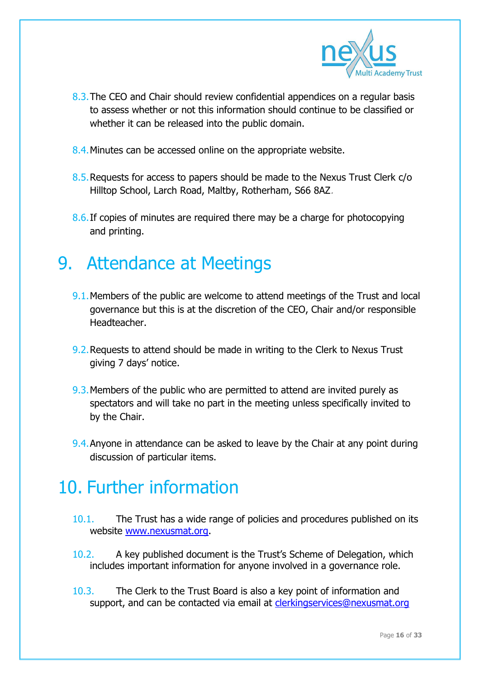

- 8.3. The CEO and Chair should review confidential appendices on a regular basis to assess whether or not this information should continue to be classified or whether it can be released into the public domain.
- 8.4. Minutes can be accessed online on the appropriate website.
- 8.5.Requests for access to papers should be made to the Nexus Trust Clerk c/o Hilltop School, Larch Road, Maltby, Rotherham, S66 8AZ.
- 8.6.If copies of minutes are required there may be a charge for photocopying and printing.

### 9. Attendance at Meetings

- 9.1.Members of the public are welcome to attend meetings of the Trust and local governance but this is at the discretion of the CEO, Chair and/or responsible Headteacher.
- 9.2.Requests to attend should be made in writing to the Clerk to Nexus Trust giving 7 days' notice.
- 9.3. Members of the public who are permitted to attend are invited purely as spectators and will take no part in the meeting unless specifically invited to by the Chair.
- 9.4. Anyone in attendance can be asked to leave by the Chair at any point during discussion of particular items.

## 10. Further information

- 10.1. The Trust has a wide range of policies and procedures published on its website [www.nexusmat.org.](http://www.nexusmat.org/)
- 10.2. A key published document is the Trust's Scheme of Delegation, which includes important information for anyone involved in a governance role.
- 10.3. The Clerk to the Trust Board is also a key point of information and support, and can be contacted via email at **clerkingservices@nexusmat.org**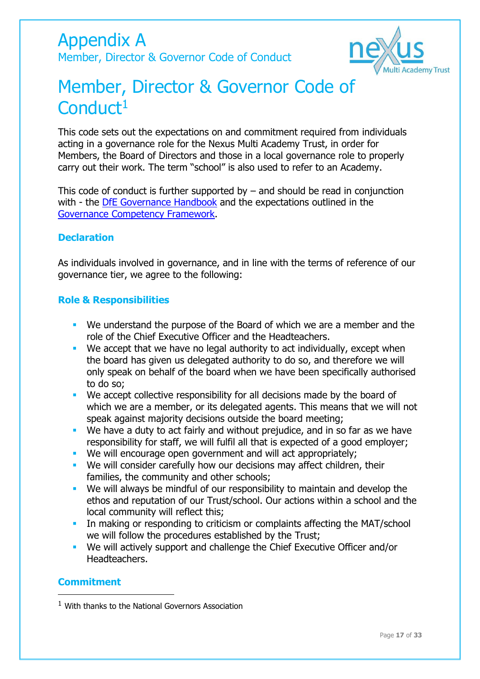Appendix A Member, Director & Governor Code of Conduct



## Member, Director & Governor Code of Conduct<sup>1</sup>

This code sets out the expectations on and commitment required from individuals acting in a governance role for the Nexus Multi Academy Trust, in order for Members, the Board of Directors and those in a local governance role to properly carry out their work. The term "school" is also used to refer to an Academy.

This code of conduct is further supported by  $-$  and should be read in conjunction with - the [DfE Governance Handbook](https://www.gov.uk/government/publications/governance-handbook) and the expectations outlined in the [Governance Competency Framework.](https://www.gov.uk/government/publications/governance-handbook)

#### **Declaration**

As individuals involved in governance, and in line with the terms of reference of our governance tier, we agree to the following:

#### **Role & Responsibilities**

- We understand the purpose of the Board of which we are a member and the role of the Chief Executive Officer and the Headteachers.
- We accept that we have no legal authority to act individually, except when the board has given us delegated authority to do so, and therefore we will only speak on behalf of the board when we have been specifically authorised to do so;
- **We accept collective responsibility for all decisions made by the board of** which we are a member, or its delegated agents. This means that we will not speak against majority decisions outside the board meeting;
- We have a duty to act fairly and without prejudice, and in so far as we have responsibility for staff, we will fulfil all that is expected of a good employer;
- We will encourage open government and will act appropriately;
- We will consider carefully how our decisions may affect children, their families, the community and other schools;
- We will always be mindful of our responsibility to maintain and develop the ethos and reputation of our Trust/school. Our actions within a school and the local community will reflect this;
- In making or responding to criticism or complaints affecting the MAT/school we will follow the procedures established by the Trust;
- We will actively support and challenge the Chief Executive Officer and/or Headteachers.

#### **Commitment**

-

 $1$  With thanks to the National Governors Association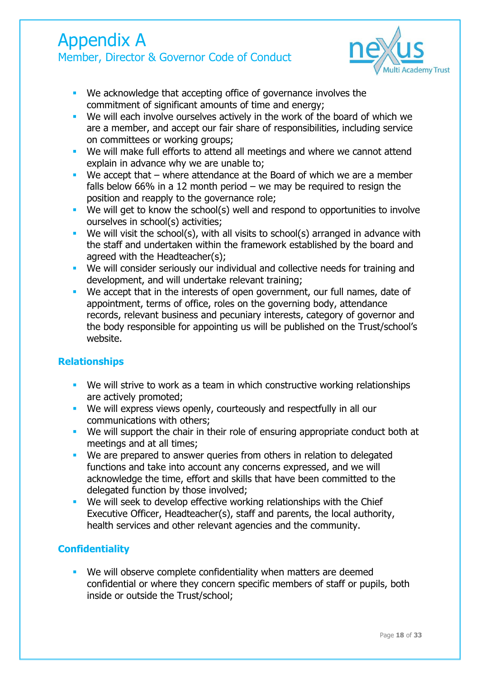### Appendix A Member, Director & Governor Code of Conduct



- We acknowledge that accepting office of governance involves the commitment of significant amounts of time and energy;
- We will each involve ourselves actively in the work of the board of which we are a member, and accept our fair share of responsibilities, including service on committees or working groups;
- We will make full efforts to attend all meetings and where we cannot attend explain in advance why we are unable to;
- We accept that  $-$  where attendance at the Board of which we are a member falls below 66% in a 12 month period – we may be required to resign the position and reapply to the governance role;
- We will get to know the school(s) well and respond to opportunities to involve ourselves in school(s) activities;
- We will visit the school(s), with all visits to school(s) arranged in advance with the staff and undertaken within the framework established by the board and agreed with the Headteacher(s);
- We will consider seriously our individual and collective needs for training and development, and will undertake relevant training;
- **We accept that in the interests of open government, our full names, date of GU** appointment, terms of office, roles on the governing body, attendance records, relevant business and pecuniary interests, category of governor and the body responsible for appointing us will be published on the Trust/school's website.

#### **Relationships**

- **We will strive to work as a team in which constructive working relationships** are actively promoted;
- We will express views openly, courteously and respectfully in all our communications with others;
- We will support the chair in their role of ensuring appropriate conduct both at meetings and at all times;
- We are prepared to answer queries from others in relation to delegated functions and take into account any concerns expressed, and we will acknowledge the time, effort and skills that have been committed to the delegated function by those involved;
- We will seek to develop effective working relationships with the Chief Executive Officer, Headteacher(s), staff and parents, the local authority, health services and other relevant agencies and the community.

#### **Confidentiality**

**We will observe complete confidentiality when matters are deemed** confidential or where they concern specific members of staff or pupils, both inside or outside the Trust/school;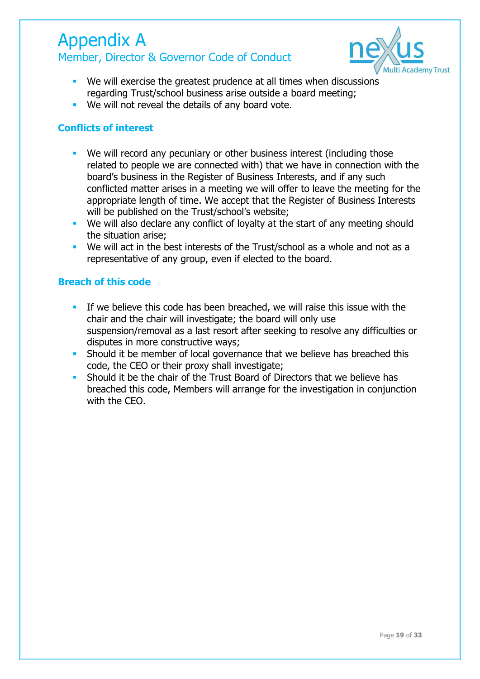### Appendix A Member, Director & Governor Code of Conduct



- We will exercise the greatest prudence at all times when discussions regarding Trust/school business arise outside a board meeting;
- **We will not reveal the details of any board vote.**

#### **Conflicts of interest**

- We will record any pecuniary or other business interest (including those related to people we are connected with) that we have in connection with the board's business in the Register of Business Interests, and if any such conflicted matter arises in a meeting we will offer to leave the meeting for the appropriate length of time. We accept that the Register of Business Interests will be published on the Trust/school's website;
- We will also declare any conflict of loyalty at the start of any meeting should the situation arise;
- We will act in the best interests of the Trust/school as a whole and not as a representative of any group, even if elected to the board.

#### **Breach of this code**

- If we believe this code has been breached, we will raise this issue with the chair and the chair will investigate; the board will only use suspension/removal as a last resort after seeking to resolve any difficulties or disputes in more constructive ways;
- **Should it be member of local governance that we believe has breached this** code, the CEO or their proxy shall investigate;
- **Should it be the chair of the Trust Board of Directors that we believe has** breached this code, Members will arrange for the investigation in conjunction with the CEO.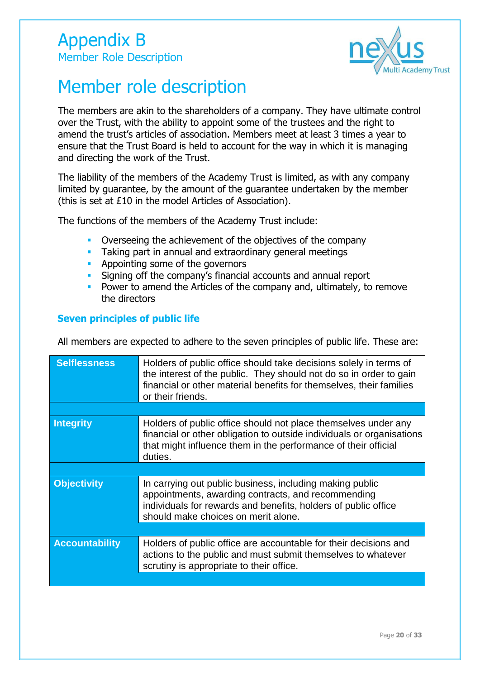

## Member role description

The members are akin to the shareholders of a company. They have ultimate control over the Trust, with the ability to appoint some of the trustees and the right to amend the trust's articles of association. Members meet at least 3 times a year to ensure that the Trust Board is held to account for the way in which it is managing and directing the work of the Trust.

The liability of the members of the Academy Trust is limited, as with any company limited by guarantee, by the amount of the guarantee undertaken by the member (this is set at £10 in the model Articles of Association).

The functions of the members of the Academy Trust include:

- Overseeing the achievement of the objectives of the company
- Taking part in annual and extraordinary general meetings
- **Appointing some of the governors**
- **Signing off the company's financial accounts and annual report**
- **Power to amend the Articles of the company and, ultimately, to remove** the directors

#### **Seven principles of public life**

All members are expected to adhere to the seven principles of public life. These are:

| <b>Selflessness</b>   | Holders of public office should take decisions solely in terms of<br>the interest of the public. They should not do so in order to gain<br>financial or other material benefits for themselves, their families<br>or their friends. |
|-----------------------|-------------------------------------------------------------------------------------------------------------------------------------------------------------------------------------------------------------------------------------|
|                       |                                                                                                                                                                                                                                     |
| <b>Integrity</b>      | Holders of public office should not place themselves under any<br>financial or other obligation to outside individuals or organisations<br>that might influence them in the performance of their official<br>duties.                |
|                       |                                                                                                                                                                                                                                     |
| <b>Objectivity</b>    | In carrying out public business, including making public<br>appointments, awarding contracts, and recommending<br>individuals for rewards and benefits, holders of public office<br>should make choices on merit alone.             |
|                       |                                                                                                                                                                                                                                     |
| <b>Accountability</b> | Holders of public office are accountable for their decisions and<br>actions to the public and must submit themselves to whatever<br>scrutiny is appropriate to their office.                                                        |
|                       |                                                                                                                                                                                                                                     |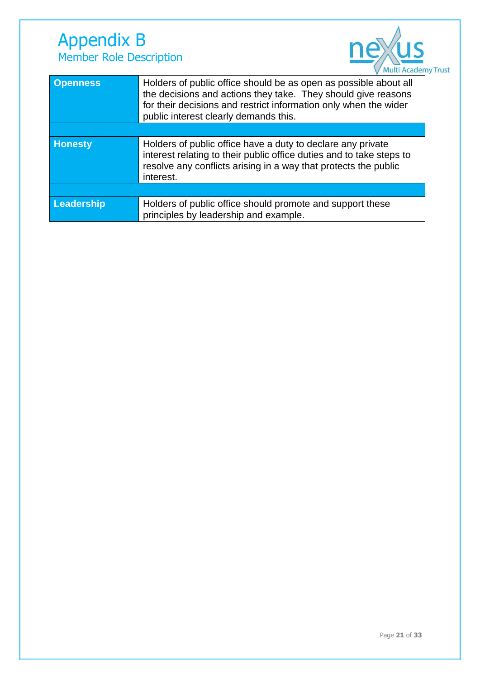### Appendix B Member Role Description



| <b>Openness</b> | Holders of public office should be as open as possible about all<br>the decisions and actions they take. They should give reasons<br>for their decisions and restrict information only when the wider<br>public interest clearly demands this. |
|-----------------|------------------------------------------------------------------------------------------------------------------------------------------------------------------------------------------------------------------------------------------------|
|                 |                                                                                                                                                                                                                                                |
| <b>Honesty</b>  | Holders of public office have a duty to declare any private<br>interest relating to their public office duties and to take steps to<br>resolve any conflicts arising in a way that protects the public<br>interest.                            |
|                 |                                                                                                                                                                                                                                                |
| Leadership      | Holders of public office should promote and support these<br>principles by leadership and example.                                                                                                                                             |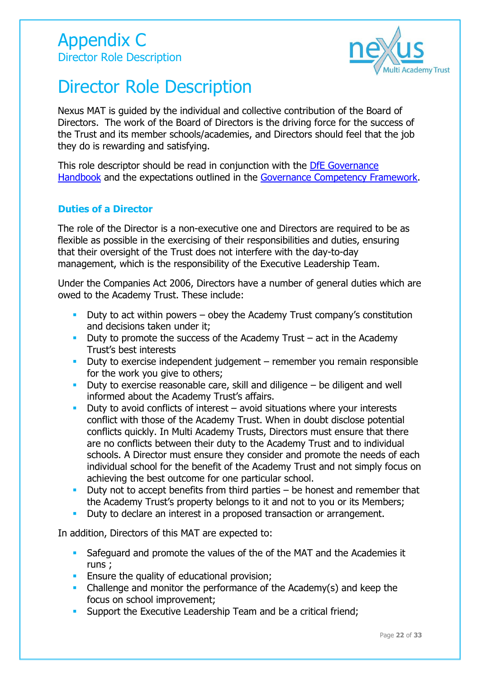

## Director Role Description

Nexus MAT is guided by the individual and collective contribution of the Board of Directors. The work of the Board of Directors is the driving force for the success of the Trust and its member schools/academies, and Directors should feel that the job they do is rewarding and satisfying.

This role descriptor should be read in conjunction with the [DfE Governance](https://www.gov.uk/government/publications/governance-handbook)  [Handbook](https://www.gov.uk/government/publications/governance-handbook) and the expectations outlined in the [Governance Competency Framework.](https://www.gov.uk/government/publications/governance-handbook)

#### **Duties of a Director**

The role of the Director is a non-executive one and Directors are required to be as flexible as possible in the exercising of their responsibilities and duties, ensuring that their oversight of the Trust does not interfere with the day-to-day management, which is the responsibility of the Executive Leadership Team.

Under the Companies Act 2006, Directors have a number of general duties which are owed to the Academy Trust. These include:

- Duty to act within powers obey the Academy Trust company's constitution and decisions taken under it;
- Duty to promote the success of the Academy Trust  $-$  act in the Academy Trust's best interests
- Duty to exercise independent judgement remember you remain responsible for the work you give to others;
- Duty to exercise reasonable care, skill and diligence  $-$  be diligent and well informed about the Academy Trust's affairs.
- Duty to avoid conflicts of interest  $-$  avoid situations where your interests conflict with those of the Academy Trust. When in doubt disclose potential conflicts quickly. In Multi Academy Trusts, Directors must ensure that there are no conflicts between their duty to the Academy Trust and to individual schools. A Director must ensure they consider and promote the needs of each individual school for the benefit of the Academy Trust and not simply focus on achieving the best outcome for one particular school.
- Duty not to accept benefits from third parties  $-$  be honest and remember that the Academy Trust's property belongs to it and not to you or its Members;
- Duty to declare an interest in a proposed transaction or arrangement.

In addition, Directors of this MAT are expected to:

- Safeguard and promote the values of the of the MAT and the Academies it runs ;
- **Ensure the quality of educational provision;**
- Challenge and monitor the performance of the Academy(s) and keep the focus on school improvement;
- **Support the Executive Leadership Team and be a critical friend;**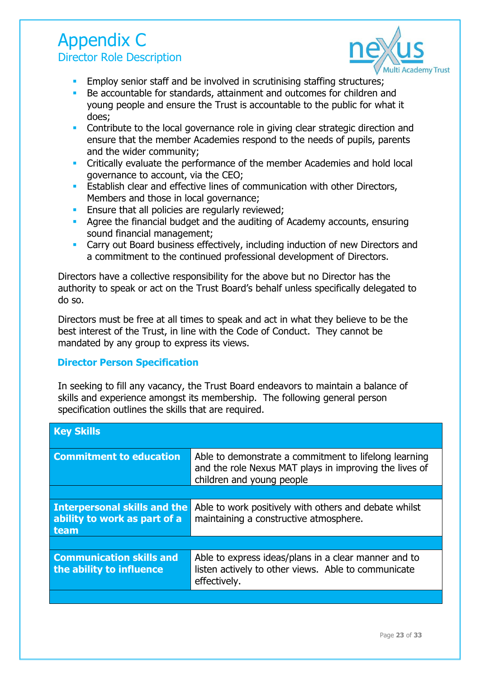### Appendix C Director Role Description



- **Employ senior staff and be involved in scrutinising staffing structures;**
- Be accountable for standards, attainment and outcomes for children and young people and ensure the Trust is accountable to the public for what it does;
- **Contribute to the local governance role in giving clear strategic direction and** ensure that the member Academies respond to the needs of pupils, parents and the wider community;
- Critically evaluate the performance of the member Academies and hold local governance to account, via the CEO;
- **Establish clear and effective lines of communication with other Directors,** Members and those in local governance;
- **Ensure that all policies are regularly reviewed;**
- Agree the financial budget and the auditing of Academy accounts, ensuring sound financial management;
- **Carry out Board business effectively, including induction of new Directors and** a commitment to the continued professional development of Directors.

Directors have a collective responsibility for the above but no Director has the authority to speak or act on the Trust Board's behalf unless specifically delegated to do so.

Directors must be free at all times to speak and act in what they believe to be the best interest of the Trust, in line with the Code of Conduct. They cannot be mandated by any group to express its views.

#### **Director Person Specification**

In seeking to fill any vacancy, the Trust Board endeavors to maintain a balance of skills and experience amongst its membership. The following general person specification outlines the skills that are required.

| <b>Key Skills</b>                                                           |                                                                                                                                              |
|-----------------------------------------------------------------------------|----------------------------------------------------------------------------------------------------------------------------------------------|
| <b>Commitment to education</b>                                              | Able to demonstrate a commitment to lifelong learning<br>and the role Nexus MAT plays in improving the lives of<br>children and young people |
|                                                                             |                                                                                                                                              |
| <b>Interpersonal skills and the</b><br>ability to work as part of a<br>team | Able to work positively with others and debate whilst<br>maintaining a constructive atmosphere.                                              |
|                                                                             |                                                                                                                                              |
| <b>Communication skills and</b><br>the ability to influence                 | Able to express ideas/plans in a clear manner and to<br>listen actively to other views. Able to communicate<br>effectively.                  |
|                                                                             |                                                                                                                                              |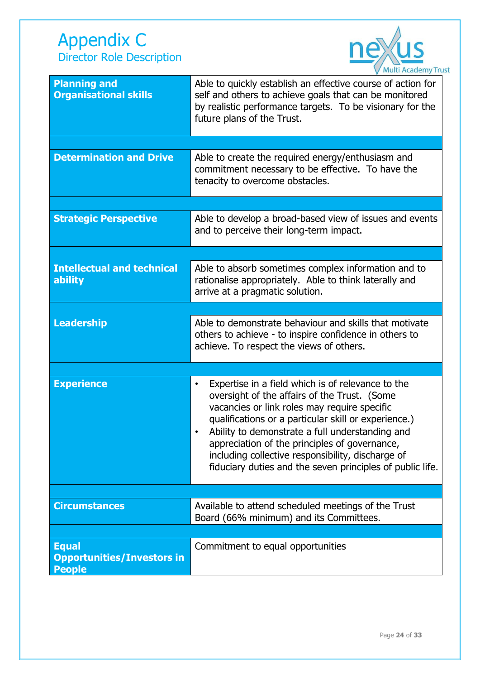### Appendix C Director Role Description



| <b>Planning and</b><br><b>Organisational skills</b>                | <b>Mart Academy Hu</b><br>Able to quickly establish an effective course of action for<br>self and others to achieve goals that can be monitored<br>by realistic performance targets. To be visionary for the<br>future plans of the Trust.                                                                                                                                                                                                   |
|--------------------------------------------------------------------|----------------------------------------------------------------------------------------------------------------------------------------------------------------------------------------------------------------------------------------------------------------------------------------------------------------------------------------------------------------------------------------------------------------------------------------------|
|                                                                    |                                                                                                                                                                                                                                                                                                                                                                                                                                              |
| <b>Determination and Drive</b>                                     | Able to create the required energy/enthusiasm and<br>commitment necessary to be effective. To have the<br>tenacity to overcome obstacles.                                                                                                                                                                                                                                                                                                    |
|                                                                    |                                                                                                                                                                                                                                                                                                                                                                                                                                              |
| <b>Strategic Perspective</b>                                       | Able to develop a broad-based view of issues and events<br>and to perceive their long-term impact.                                                                                                                                                                                                                                                                                                                                           |
|                                                                    |                                                                                                                                                                                                                                                                                                                                                                                                                                              |
| <b>Intellectual and technical</b><br>ability                       | Able to absorb sometimes complex information and to<br>rationalise appropriately. Able to think laterally and<br>arrive at a pragmatic solution.                                                                                                                                                                                                                                                                                             |
|                                                                    |                                                                                                                                                                                                                                                                                                                                                                                                                                              |
| <b>Leadership</b>                                                  | Able to demonstrate behaviour and skills that motivate<br>others to achieve - to inspire confidence in others to<br>achieve. To respect the views of others.                                                                                                                                                                                                                                                                                 |
|                                                                    |                                                                                                                                                                                                                                                                                                                                                                                                                                              |
| <b>Experience</b>                                                  | Expertise in a field which is of relevance to the<br>$\bullet$<br>oversight of the affairs of the Trust. (Some<br>vacancies or link roles may require specific<br>qualifications or a particular skill or experience.)<br>Ability to demonstrate a full understanding and<br>appreciation of the principles of governance,<br>including collective responsibility, discharge of<br>fiduciary duties and the seven principles of public life. |
|                                                                    |                                                                                                                                                                                                                                                                                                                                                                                                                                              |
| <b>Circumstances</b>                                               | Available to attend scheduled meetings of the Trust<br>Board (66% minimum) and its Committees.                                                                                                                                                                                                                                                                                                                                               |
|                                                                    |                                                                                                                                                                                                                                                                                                                                                                                                                                              |
| <b>Equal</b><br><b>Opportunities/Investors in</b><br><b>People</b> | Commitment to equal opportunities                                                                                                                                                                                                                                                                                                                                                                                                            |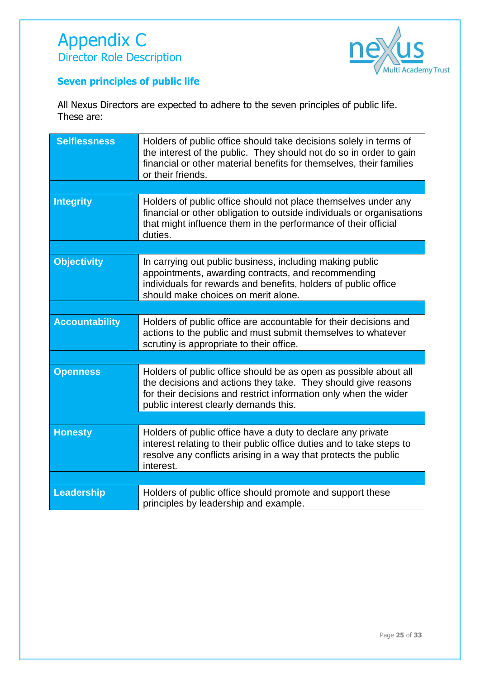

### **Seven principles of public life**

All Nexus Directors are expected to adhere to the seven principles of public life. These are:

| <b>Selflessness</b>   | Holders of public office should take decisions solely in terms of<br>the interest of the public. They should not do so in order to gain<br>financial or other material benefits for themselves, their families<br>or their friends.            |
|-----------------------|------------------------------------------------------------------------------------------------------------------------------------------------------------------------------------------------------------------------------------------------|
|                       |                                                                                                                                                                                                                                                |
| <b>Integrity</b>      | Holders of public office should not place themselves under any<br>financial or other obligation to outside individuals or organisations<br>that might influence them in the performance of their official<br>duties.                           |
|                       |                                                                                                                                                                                                                                                |
| <b>Objectivity</b>    | In carrying out public business, including making public<br>appointments, awarding contracts, and recommending<br>individuals for rewards and benefits, holders of public office<br>should make choices on merit alone.                        |
|                       |                                                                                                                                                                                                                                                |
| <b>Accountability</b> | Holders of public office are accountable for their decisions and<br>actions to the public and must submit themselves to whatever<br>scrutiny is appropriate to their office.                                                                   |
|                       |                                                                                                                                                                                                                                                |
| <b>Openness</b>       | Holders of public office should be as open as possible about all<br>the decisions and actions they take. They should give reasons<br>for their decisions and restrict information only when the wider<br>public interest clearly demands this. |
|                       |                                                                                                                                                                                                                                                |
| <b>Honesty</b>        | Holders of public office have a duty to declare any private<br>interest relating to their public office duties and to take steps to<br>resolve any conflicts arising in a way that protects the public<br>interest.                            |
|                       |                                                                                                                                                                                                                                                |
| <b>Leadership</b>     | Holders of public office should promote and support these<br>principles by leadership and example.                                                                                                                                             |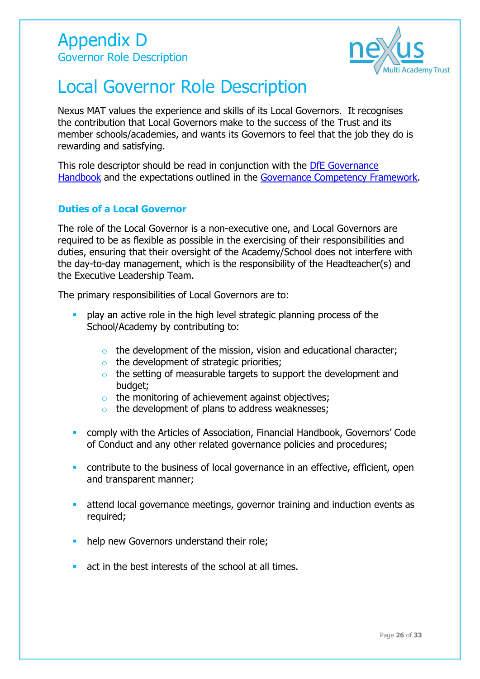

## Local Governor Role Description

Nexus MAT values the experience and skills of its Local Governors. It recognises the contribution that Local Governors make to the success of the Trust and its member schools/academies, and wants its Governors to feel that the job they do is rewarding and satisfying.

This role descriptor should be read in conjunction with the [DfE Governance](https://www.gov.uk/government/publications/governance-handbook)  [Handbook](https://www.gov.uk/government/publications/governance-handbook) and the expectations outlined in the [Governance Competency Framework.](https://www.gov.uk/government/publications/governance-handbook)

#### **Duties of a Local Governor**

The role of the Local Governor is a non-executive one, and Local Governors are required to be as flexible as possible in the exercising of their responsibilities and duties, ensuring that their oversight of the Academy/School does not interfere with the day-to-day management, which is the responsibility of the Headteacher(s) and the Executive Leadership Team.

The primary responsibilities of Local Governors are to:

- **•** play an active role in the high level strategic planning process of the School/Academy by contributing to:
	- $\circ$  the development of the mission, vision and educational character;
	- $\circ$  the development of strategic priorities;
	- o the setting of measurable targets to support the development and budget;
	- o the monitoring of achievement against objectives;
	- $\circ$  the development of plans to address weaknesses;
- comply with the Articles of Association, Financial Handbook, Governors' Code of Conduct and any other related governance policies and procedures;
- contribute to the business of local governance in an effective, efficient, open and transparent manner;
- attend local governance meetings, governor training and induction events as required;
- help new Governors understand their role;
- act in the best interests of the school at all times.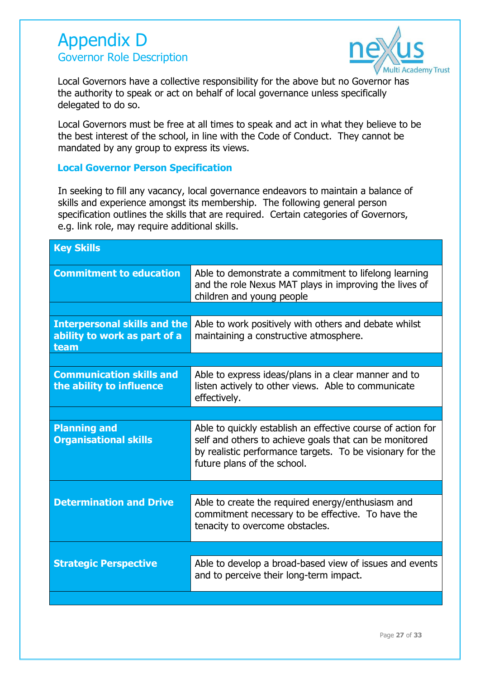### Appendix D Governor Role Description



Local Governors have a collective responsibility for the above but no Governor has the authority to speak or act on behalf of local governance unless specifically delegated to do so.

Local Governors must be free at all times to speak and act in what they believe to be the best interest of the school, in line with the Code of Conduct. They cannot be mandated by any group to express its views.

#### **Local Governor Person Specification**

In seeking to fill any vacancy, local governance endeavors to maintain a balance of skills and experience amongst its membership. The following general person specification outlines the skills that are required. Certain categories of Governors, e.g. link role, may require additional skills.

| <b>Key Skills</b>                                                           |                                                                                                                                                                                                                   |
|-----------------------------------------------------------------------------|-------------------------------------------------------------------------------------------------------------------------------------------------------------------------------------------------------------------|
| <b>Commitment to education</b>                                              | Able to demonstrate a commitment to lifelong learning<br>and the role Nexus MAT plays in improving the lives of<br>children and young people                                                                      |
|                                                                             |                                                                                                                                                                                                                   |
| <b>Interpersonal skills and the</b><br>ability to work as part of a<br>team | Able to work positively with others and debate whilst<br>maintaining a constructive atmosphere.                                                                                                                   |
|                                                                             |                                                                                                                                                                                                                   |
| <b>Communication skills and</b><br>the ability to influence                 | Able to express ideas/plans in a clear manner and to<br>listen actively to other views. Able to communicate<br>effectively.                                                                                       |
|                                                                             |                                                                                                                                                                                                                   |
| <b>Planning and</b><br><b>Organisational skills</b>                         | Able to quickly establish an effective course of action for<br>self and others to achieve goals that can be monitored<br>by realistic performance targets. To be visionary for the<br>future plans of the school. |
|                                                                             |                                                                                                                                                                                                                   |
| <b>Determination and Drive</b>                                              | Able to create the required energy/enthusiasm and<br>commitment necessary to be effective. To have the<br>tenacity to overcome obstacles.                                                                         |
|                                                                             |                                                                                                                                                                                                                   |
| <b>Strategic Perspective</b>                                                | Able to develop a broad-based view of issues and events<br>and to perceive their long-term impact.                                                                                                                |
|                                                                             |                                                                                                                                                                                                                   |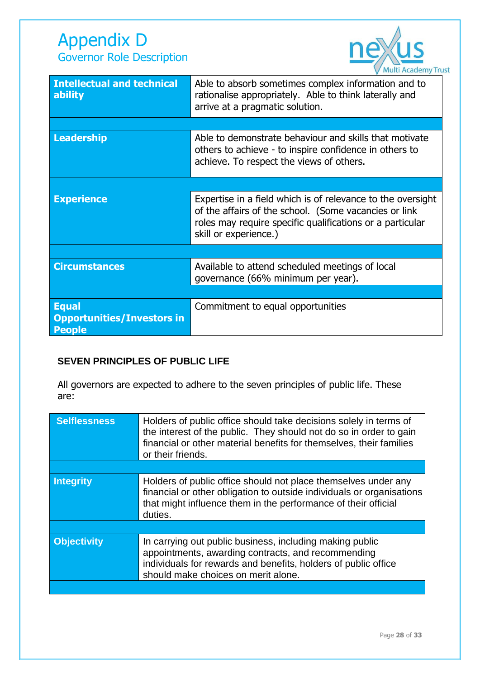

| <b>Intellectual and technical</b><br>ability                       | Able to absorb sometimes complex information and to<br>rationalise appropriately. Able to think laterally and<br>arrive at a pragmatic solution.                                                           |
|--------------------------------------------------------------------|------------------------------------------------------------------------------------------------------------------------------------------------------------------------------------------------------------|
|                                                                    |                                                                                                                                                                                                            |
| <b>Leadership</b>                                                  | Able to demonstrate behaviour and skills that motivate<br>others to achieve - to inspire confidence in others to<br>achieve. To respect the views of others.                                               |
|                                                                    |                                                                                                                                                                                                            |
| <b>Experience</b>                                                  | Expertise in a field which is of relevance to the oversight<br>of the affairs of the school. (Some vacancies or link<br>roles may require specific qualifications or a particular<br>skill or experience.) |
|                                                                    |                                                                                                                                                                                                            |
| <b>Circumstances</b>                                               | Available to attend scheduled meetings of local<br>governance (66% minimum per year).                                                                                                                      |
|                                                                    |                                                                                                                                                                                                            |
| <b>Equal</b><br><b>Opportunities/Investors in</b><br><b>People</b> | Commitment to equal opportunities                                                                                                                                                                          |

#### **SEVEN PRINCIPLES OF PUBLIC LIFE**

All governors are expected to adhere to the seven principles of public life. These are:

| <b>Selflessness</b> | Holders of public office should take decisions solely in terms of<br>the interest of the public. They should not do so in order to gain<br>financial or other material benefits for themselves, their families<br>or their friends. |
|---------------------|-------------------------------------------------------------------------------------------------------------------------------------------------------------------------------------------------------------------------------------|
|                     |                                                                                                                                                                                                                                     |
| <b>Integrity</b>    | Holders of public office should not place themselves under any<br>financial or other obligation to outside individuals or organisations<br>that might influence them in the performance of their official<br>duties.                |
|                     |                                                                                                                                                                                                                                     |
| <b>Objectivity</b>  | In carrying out public business, including making public<br>appointments, awarding contracts, and recommending<br>individuals for rewards and benefits, holders of public office<br>should make choices on merit alone.             |
|                     |                                                                                                                                                                                                                                     |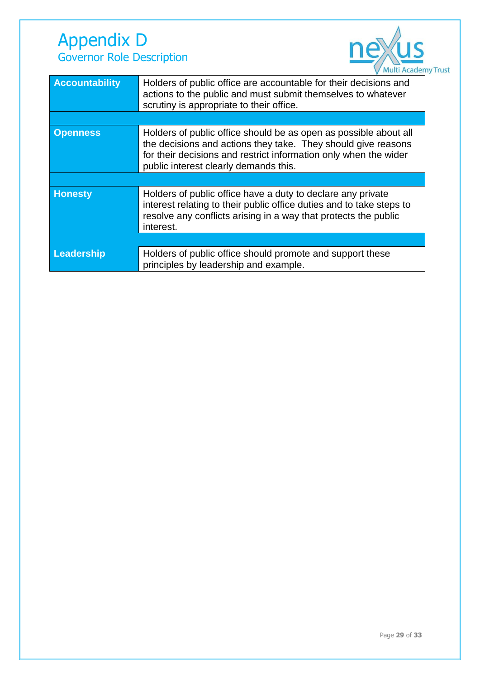### Appendix D Governor Role Description



| <b>Accountability</b> | Holders of public office are accountable for their decisions and<br>actions to the public and must submit themselves to whatever<br>scrutiny is appropriate to their office.                                                                   |
|-----------------------|------------------------------------------------------------------------------------------------------------------------------------------------------------------------------------------------------------------------------------------------|
|                       |                                                                                                                                                                                                                                                |
| <b>Openness</b>       | Holders of public office should be as open as possible about all<br>the decisions and actions they take. They should give reasons<br>for their decisions and restrict information only when the wider<br>public interest clearly demands this. |
|                       |                                                                                                                                                                                                                                                |
| <b>Honesty</b>        | Holders of public office have a duty to declare any private<br>interest relating to their public office duties and to take steps to<br>resolve any conflicts arising in a way that protects the public<br>interest.                            |
|                       |                                                                                                                                                                                                                                                |
| Leadership            | Holders of public office should promote and support these<br>principles by leadership and example.                                                                                                                                             |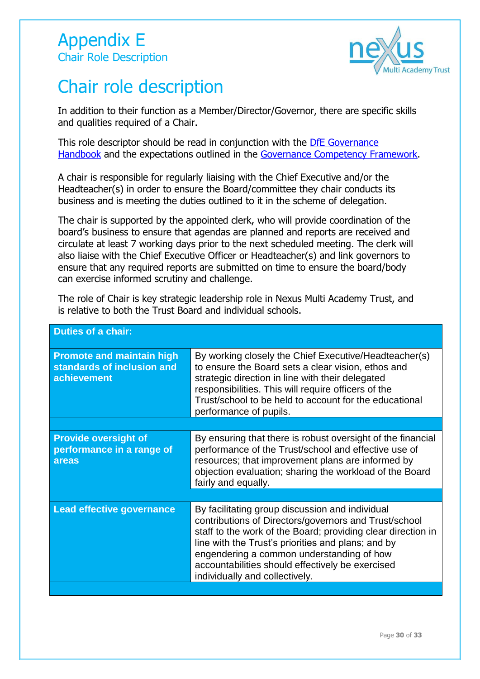

## Chair role description

In addition to their function as a Member/Director/Governor, there are specific skills and qualities required of a Chair.

This role descriptor should be read in conjunction with the [DfE Governance](https://www.gov.uk/government/publications/governance-handbook)  [Handbook](https://www.gov.uk/government/publications/governance-handbook) and the expectations outlined in the [Governance Competency Framework.](https://www.gov.uk/government/publications/governance-handbook)

A chair is responsible for regularly liaising with the Chief Executive and/or the Headteacher(s) in order to ensure the Board/committee they chair conducts its business and is meeting the duties outlined to it in the scheme of delegation.

The chair is supported by the appointed clerk, who will provide coordination of the board's business to ensure that agendas are planned and reports are received and circulate at least 7 working days prior to the next scheduled meeting. The clerk will also liaise with the Chief Executive Officer or Headteacher(s) and link governors to ensure that any required reports are submitted on time to ensure the board/body can exercise informed scrutiny and challenge.

The role of Chair is key strategic leadership role in Nexus Multi Academy Trust, and is relative to both the Trust Board and individual schools.

| <b>Duties of a chair:</b>                                                            |                                                                                                                                                                                                                                                                                                                                                                   |
|--------------------------------------------------------------------------------------|-------------------------------------------------------------------------------------------------------------------------------------------------------------------------------------------------------------------------------------------------------------------------------------------------------------------------------------------------------------------|
| <b>Promote and maintain high</b><br>standards of inclusion and<br><b>achievement</b> | By working closely the Chief Executive/Headteacher(s)<br>to ensure the Board sets a clear vision, ethos and<br>strategic direction in line with their delegated<br>responsibilities. This will require officers of the<br>Trust/school to be held to account for the educational<br>performance of pupils.                                                        |
|                                                                                      |                                                                                                                                                                                                                                                                                                                                                                   |
| <b>Provide oversight of</b><br>performance in a range of<br>areas                    | By ensuring that there is robust oversight of the financial<br>performance of the Trust/school and effective use of<br>resources; that improvement plans are informed by<br>objection evaluation; sharing the workload of the Board<br>fairly and equally.                                                                                                        |
|                                                                                      |                                                                                                                                                                                                                                                                                                                                                                   |
| <b>Lead effective governance</b>                                                     | By facilitating group discussion and individual<br>contributions of Directors/governors and Trust/school<br>staff to the work of the Board; providing clear direction in<br>line with the Trust's priorities and plans; and by<br>engendering a common understanding of how<br>accountabilities should effectively be exercised<br>individually and collectively. |
|                                                                                      |                                                                                                                                                                                                                                                                                                                                                                   |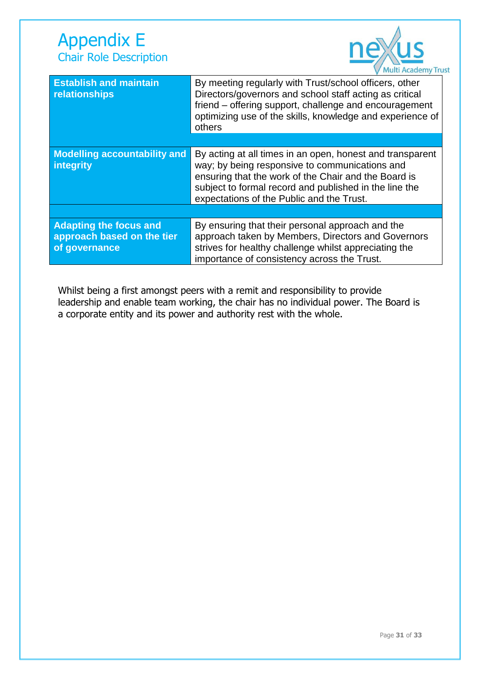

| <b>Establish and maintain</b><br>relationships                               | By meeting regularly with Trust/school officers, other<br>Directors/governors and school staff acting as critical<br>friend – offering support, challenge and encouragement<br>optimizing use of the skills, knowledge and experience of<br>others                         |
|------------------------------------------------------------------------------|----------------------------------------------------------------------------------------------------------------------------------------------------------------------------------------------------------------------------------------------------------------------------|
|                                                                              |                                                                                                                                                                                                                                                                            |
| <b>Modelling accountability and</b><br>integrity                             | By acting at all times in an open, honest and transparent<br>way; by being responsive to communications and<br>ensuring that the work of the Chair and the Board is<br>subject to formal record and published in the line the<br>expectations of the Public and the Trust. |
|                                                                              |                                                                                                                                                                                                                                                                            |
| <b>Adapting the focus and</b><br>approach based on the tier<br>of governance | By ensuring that their personal approach and the<br>approach taken by Members, Directors and Governors<br>strives for healthy challenge whilst appreciating the<br>importance of consistency across the Trust.                                                             |

Whilst being a first amongst peers with a remit and responsibility to provide leadership and enable team working, the chair has no individual power. The Board is a corporate entity and its power and authority rest with the whole.